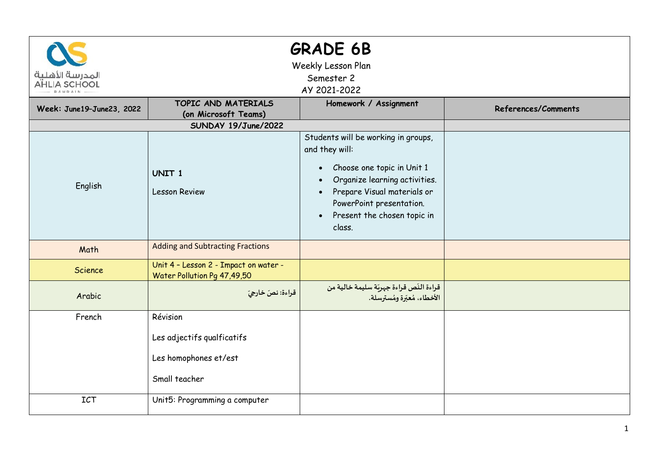| المدرسة الأهلية<br><b>AHLIA SCHOOL</b> |                                                                                  | <b>GRADE 6B</b><br>Weekly Lesson Plan<br>Semester 2<br>AY 2021-2022                                                                                                                                                                                |                     |
|----------------------------------------|----------------------------------------------------------------------------------|----------------------------------------------------------------------------------------------------------------------------------------------------------------------------------------------------------------------------------------------------|---------------------|
| Week: June19-June23, 2022              | TOPIC AND MATERIALS<br>(on Microsoft Teams)                                      | Homework / Assignment                                                                                                                                                                                                                              | References/Comments |
|                                        | SUNDAY 19/June/2022                                                              |                                                                                                                                                                                                                                                    |                     |
| English                                | UNIT <sub>1</sub><br><b>Lesson Review</b>                                        | Students will be working in groups,<br>and they will:<br>Choose one topic in Unit 1<br>$\bullet$<br>Organize learning activities.<br>Prepare Visual materials or<br>PowerPoint presentation.<br>Present the chosen topic in<br>$\bullet$<br>class. |                     |
| Math                                   | <b>Adding and Subtracting Fractions</b>                                          |                                                                                                                                                                                                                                                    |                     |
| Science                                | Unit 4 - Lesson 2 - Impact on water -<br>Water Pollution Pg 47,49,50             |                                                                                                                                                                                                                                                    |                     |
| Arabic                                 | قراءة: نصّ خارجيّ                                                                | قراءة النّص قراءة جهرتة سليمة خالية من<br>الأخطاء، مُعبّرة ومُسترسلة.                                                                                                                                                                              |                     |
| French                                 | Révision<br>Les adjectifs qualficatifs<br>Les homophones et/est<br>Small teacher |                                                                                                                                                                                                                                                    |                     |
| ICT                                    | Unit5: Programming a computer                                                    |                                                                                                                                                                                                                                                    |                     |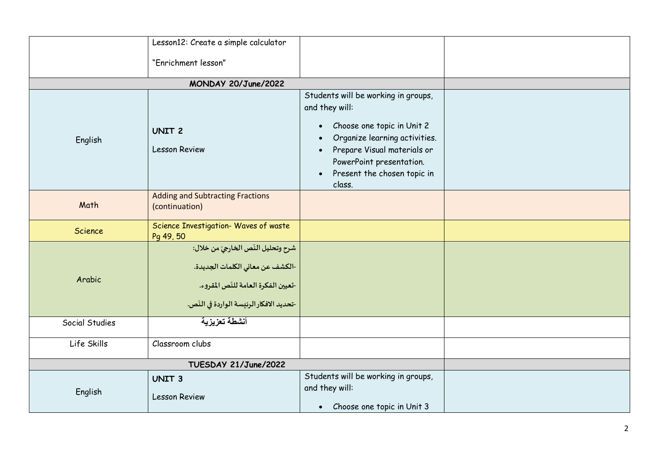|                      | Lesson12: Create a simple calculator                                                                                                                      |                                                                                                                                                                                                                                                    |  |
|----------------------|-----------------------------------------------------------------------------------------------------------------------------------------------------------|----------------------------------------------------------------------------------------------------------------------------------------------------------------------------------------------------------------------------------------------------|--|
|                      | "Enrichment lesson"                                                                                                                                       |                                                                                                                                                                                                                                                    |  |
|                      | MONDAY 20/June/2022                                                                                                                                       |                                                                                                                                                                                                                                                    |  |
| English              | <b>UNIT 2</b><br><b>Lesson Review</b>                                                                                                                     | Students will be working in groups,<br>and they will:<br>Choose one topic in Unit 2<br>$\bullet$<br>Organize learning activities.<br>Prepare Visual materials or<br>PowerPoint presentation.<br>Present the chosen topic in<br>$\bullet$<br>class. |  |
| Math                 | <b>Adding and Subtracting Fractions</b><br>(continuation)                                                                                                 |                                                                                                                                                                                                                                                    |  |
| Science              | Science Investigation- Waves of waste<br>Pg 49, 50                                                                                                        |                                                                                                                                                                                                                                                    |  |
| Arabic               | شرح وتحليل النّص الخارجيّ من خلال:<br>-الكشف عن معاني الكلمات الجديدة.<br>-تعيين الفكرة العامة للنّص المقروء.<br>-تحديد الافكار الرئيسة الواردة في النّص. |                                                                                                                                                                                                                                                    |  |
| Social Studies       | أنشطة تعزيزية                                                                                                                                             |                                                                                                                                                                                                                                                    |  |
| Life Skills          | Classroom clubs                                                                                                                                           |                                                                                                                                                                                                                                                    |  |
| TUESDAY 21/June/2022 |                                                                                                                                                           |                                                                                                                                                                                                                                                    |  |
| English              | UNIT <sub>3</sub><br><b>Lesson Review</b>                                                                                                                 | Students will be working in groups,<br>and they will:<br>Choose one topic in Unit 3<br>$\bullet$                                                                                                                                                   |  |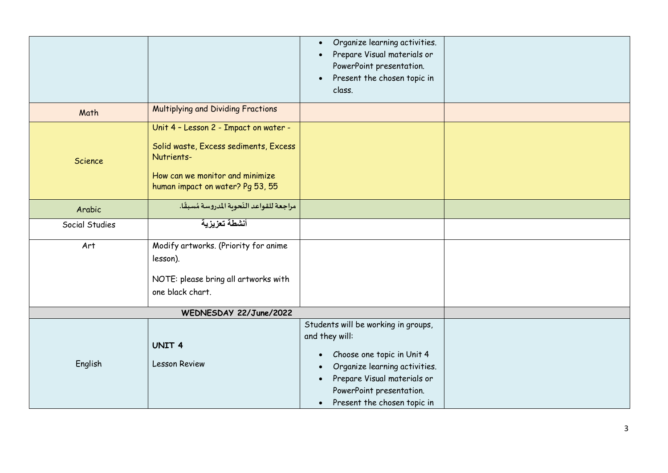|                        |                                                                                                                                                                     | Organize learning activities.<br>$\bullet$<br>Prepare Visual materials or<br>$\bullet$<br>PowerPoint presentation.<br>Present the chosen topic in<br>$\bullet$<br>class.                                                                                           |  |
|------------------------|---------------------------------------------------------------------------------------------------------------------------------------------------------------------|--------------------------------------------------------------------------------------------------------------------------------------------------------------------------------------------------------------------------------------------------------------------|--|
| Math                   | Multiplying and Dividing Fractions                                                                                                                                  |                                                                                                                                                                                                                                                                    |  |
| Science                | Unit 4 - Lesson 2 - Impact on water -<br>Solid waste, Excess sediments, Excess<br>Nutrients-<br>How can we monitor and minimize<br>human impact on water? Pg 53, 55 |                                                                                                                                                                                                                                                                    |  |
| Arabic                 | مراجعة للقواعد النّحوبة المدروسة مُسبقًا.                                                                                                                           |                                                                                                                                                                                                                                                                    |  |
| Social Studies         | أنشطة تعزيزية                                                                                                                                                       |                                                                                                                                                                                                                                                                    |  |
| Art                    | Modify artworks. (Priority for anime<br>lesson).<br>NOTE: please bring all artworks with<br>one black chart.                                                        |                                                                                                                                                                                                                                                                    |  |
| WEDNESDAY 22/June/2022 |                                                                                                                                                                     |                                                                                                                                                                                                                                                                    |  |
| English                | <b>UNIT 4</b><br>Lesson Review                                                                                                                                      | Students will be working in groups,<br>and they will:<br>Choose one topic in Unit 4<br>$\bullet$<br>Organize learning activities.<br>$\bullet$<br>Prepare Visual materials or<br>$\bullet$<br>PowerPoint presentation.<br>Present the chosen topic in<br>$\bullet$ |  |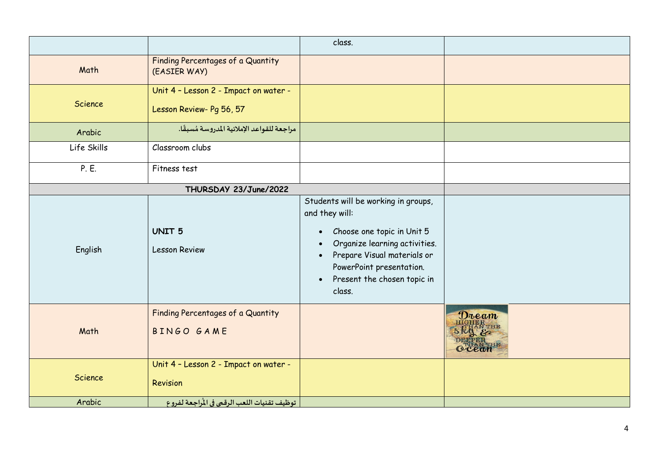|                       |                                                                   | class.                                                                                                                                                                                                                                                          |                                    |
|-----------------------|-------------------------------------------------------------------|-----------------------------------------------------------------------------------------------------------------------------------------------------------------------------------------------------------------------------------------------------------------|------------------------------------|
| Math                  | Finding Percentages of a Quantity<br>(EASIER WAY)                 |                                                                                                                                                                                                                                                                 |                                    |
| Science               | Unit 4 - Lesson 2 - Impact on water -<br>Lesson Review- Pg 56, 57 |                                                                                                                                                                                                                                                                 |                                    |
| Arabic                | مراجعة للقواعد الإملائية المدروسة مُسبقًا.                        |                                                                                                                                                                                                                                                                 |                                    |
| Life Skills           | Classroom clubs                                                   |                                                                                                                                                                                                                                                                 |                                    |
| P. E.                 | Fitness test                                                      |                                                                                                                                                                                                                                                                 |                                    |
| THURSDAY 23/June/2022 |                                                                   |                                                                                                                                                                                                                                                                 |                                    |
| English               | <b>UNIT 5</b><br><b>Lesson Review</b>                             | Students will be working in groups,<br>and they will:<br>Choose one topic in Unit 5<br>$\bullet$<br>Organize learning activities.<br>Prepare Visual materials or<br>$\bullet$<br>PowerPoint presentation.<br>Present the chosen topic in<br>$\bullet$<br>class. |                                    |
| Math                  | Finding Percentages of a Quantity<br>BINGO GAME                   |                                                                                                                                                                                                                                                                 | Dream<br><b>EEPER</b><br>Grean THE |
| Science               | Unit 4 - Lesson 2 - Impact on water -<br>Revision                 |                                                                                                                                                                                                                                                                 |                                    |
| Arabic                | توظيف تقنيات اللعب الرقمي في المُراجعة لفروع                      |                                                                                                                                                                                                                                                                 |                                    |